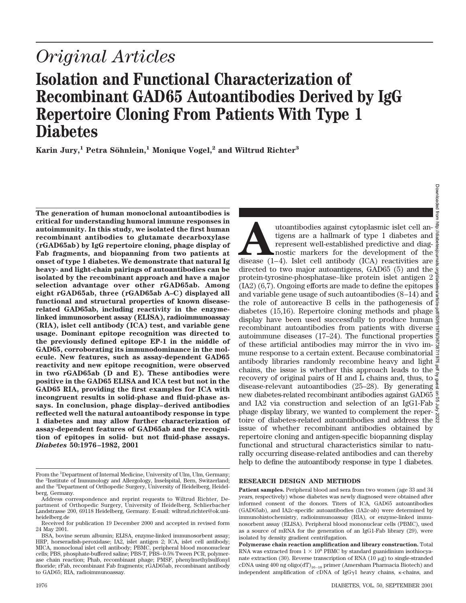# *Original Articles*

## **Isolation and Functional Characterization of Recombinant GAD65 Autoantibodies Derived by IgG Repertoire Cloning From Patients With Type 1 Diabetes**

**Karin Jury,<sup>1</sup> Petra Söhnlein,<sup>1</sup> Monique Vogel,<sup>2</sup> and Wiltrud Richter<sup>3</sup>** 

**The generation of human monoclonal autoantibodies is critical for understanding humoral immune responses in autoimmunity. In this study, we isolated the first human recombinant antibodies to glutamate decarboxylase (rGAD65ab) by IgG repertoire cloning, phage display of Fab fragments, and biopanning from two patients at onset of type 1 diabetes. We demonstrate that natural Ig heavy- and light-chain pairings of autoantibodies can be isolated by the recombinant approach and have a major selection advantage over other rGAD65ab. Among eight rGAD65ab, three (rGAD65ab A–C) displayed all functional and structural properties of known diseaserelated GAD65ab, including reactivity in the enzymelinked immunosorbent assay (ELISA), radioimmunoassay (RIA), islet cell antibody (ICA) test, and variable gene usage. Dominant epitope recognition was directed to the previously defined epitope EP-1 in the middle of GAD65, corroborating its immunodominance in the molecule. New features, such as assay-dependent GAD65 reactivity and new epitope recognition, were observed in two rGAD65ab (D and E). These antibodies were positive in the GAD65 ELISA and ICA test but not in the GAD65 RIA, providing the first examples for ICA with incongruent results in solid-phase and fluid-phase assays. In conclusion, phage display–derived antibodies reflected well the natural autoantibody response in type 1 diabetes and may allow further characterization of assay-dependent features of GAD65ab and the recognition of epitopes in solid- but not fluid-phase assays.** *Diabetes* **50:1976–1982, 2001**

Downloaded from Downloaded from http://diabetesjournals.org/diabetes/article-pdf/50/9/1976/367387/1976.pdf by guest on 05 July 2022utoantibodies against cytoplasmic islet cell antigens are a hallmark of type 1 diabetes and represent well-established predictive and diagnostic markers for the development of the disease  $(1-4)$ . Islet cell antibody (ICA) tigens are a hallmark of type 1 diabetes and represent well-established predictive and diagnostic markers for the development of the disease (1–4). Islet cell antibody (ICA) reactivities are  $\frac{3}{8}$ directed to two major autoantigens, GAD65 (5) and the protein-tyrosine-phosphatase–like protein islet antigen 2 (IA2) (6,7). Ongoing efforts are made to define the epitopes and variable gene usage of such autoantibodies (8–14) and the role of autoreactive B cells in the pathogenesis of  $\frac{3}{8}$ diabetes (15,16). Repertoire cloning methods and phage display have been used successfully to produce human recombinant autoantibodies from patients with diverse autoimmune diseases (17–24). The functional properties of these artificial antibodies may mirror the in vivo immune response to a certain extent. Because combinatorial antibody libraries randomly recombine heavy and light chains, the issue is whether this approach leads to the  $\frac{8}{3}$ recovery of original pairs of H and L chains and, thus, to disease-relevant autoantibodies (25–28). By generating  $\frac{3}{2}$ new diabetes-related recombinant antibodies against GAD65 and IA2 via construction and selection of an IgG1-Fab  $\frac{5}{5}$ phage display library, we wanted to complement the repertoire of diabetes-related autoantibodies and address the issue of whether recombinant antibodies obtained by repertoire cloning and antigen-specific biopanning display functional and structural characteristics similar to naturally occurring disease-related antibodies and can thereby help to define the autoantibody response in type 1 diabetes.

## **RESEARCH DESIGN AND METHODS**

**Patient samples.** Peripheral blood and sera from two women (age 33 and 34 years, respectively) whose diabetes was newly diagnosed were obtained after informed consent of the donors. Titers of ICA, GAD65 autoantibodies (GAD65ab), and IA2c-specific autoantibodies (IA2c-ab) were determined by immunohistochemistry, radioimmunoassay (RIA), or enzyme-linked immunosorbent assay (ELISA). Peripheral blood mononuclear cells (PBMC), used as a source of mRNA for the generation of an IgG1-Fab library (29), were isolated by density gradient centrifugation.

From the <sup>1</sup>Department of Internal Medicine, University of Ulm, Ulm, Germany; the <sup>2</sup> Institute of Immunology and Allergology, Inselspital, Bern, Switzerland; and the <sup>3</sup> Department of Orthopedic Surgery, University of Heidelberg, Heidelberg, Germany.

Address correspondence and reprint requests to Wiltrud Richter, Department of Orthopedic Surgery, University of Heidelberg, Schlierbacher Landstrasse 200, 69118 Heidelberg, Germany. E-mail: wiltrud.richter@ok.uniheidelberg.de

Received for publication 19 December 2000 and accepted in revised form 24 May 2001.

BSA, bovine serum albumin; ELISA, enzyme-linked immunosorbent assay; HRP, horseradish-peroxidase; IA2, islet antigen 2; ICA, islet cell antibody; MICA, monoclonal islet cell antibody; PBMC, peripheral blood mononuclear cells; PBS, phosphate-buffered saline; PBS-T, PBS–0.5% Tween PCR, polymerase chain reaction; Phab, recombinant phage; PMSF, phenylmethylsulfonyl fluoride; rFab, recombinant Fab fragments; rGAD65ab, recombinant antibody to GAD65; RIA, radioimmunoassay.

**Polymerase chain reaction amplification and library construction.** Total RNA was extracted from  $1 \times 10^8$  PBMC by standard guanidinium isothiocyanate extraction (30). Reverse transcription of RNA (10  $\mu$ g) to single-stranded cDNA using 400 ng oligo(dT)<sub>16–18</sub> primer (Amersham Pharmacia Biotech) and independent amplification of cDNA of IgG $\gamma$ 1 heavy chains, k-chains, and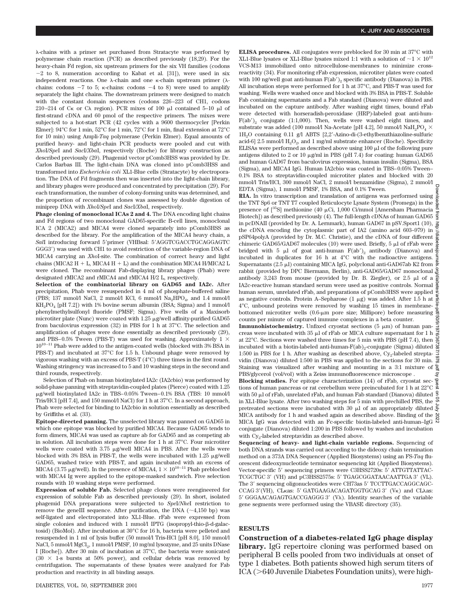l-chains with a primer set purchased from Stratacyte was performed by polymerase chain reaction (PCR) as described previously (18,29). For the heavy-chain Fd region, six upstream primers for the six VH families (codons  $-2$  to 8, numeration according to Kabat et al. [31]), were used in six independent reactions. One  $\lambda$ -chain and one  $\kappa$ -chain upstream primer ( $\lambda$ chains: codons  $-7$  to 5; k-chains: codons  $-4$  to 8) were used to amplify separately the light chains. The downstream primers were designed to match with the constant domain sequences (codons 226–223 of CH1, codons 210–214 of  $C_K$  or  $C_\lambda$  region). PCR mixes of 100  $\mu$ l contained 5–10  $\mu$ l of first-strand cDNA and 60 pmol of the respective primers. The mixes were subjected to a hot-start PCR (42 cycles with a 9600 thermocycler [Perkin Elmer]: 94°C for 1 min, 52°C for 1 min, 72°C for 1 min, final extension at 72°C for 10 min) using Ampli-*Taq* polymerase (Perkin Elmer). Equal amounts of purified heavy- and light-chain PCR products were pooled and cut with *Xho*I/*Spe*I and *Sac*I/*Xba*I, respectively (Roche) for library construction as described previously (29). Phagemid vector pComb3HSS was provided by Dr. Carlos Barbas III. The light-chain DNA was cloned into pComb3HSS and transformed into *Escherichia coli* XL1-Blue cells (Stratacyte) by electroporation. The DNA of Fd fragments then was inserted into the light-chain library, and library phages were produced and concentrated by precipitation (29). For each transformation, the number of colony-forming units was determined, and the proportion of recombinant clones was assessed by double digestion of miniprep DNA with *Xho*I/*Spe*I and *Sac*I/*Xba*I, respectively.

**Phage cloning of monoclonal ICAs 2 and 4.** The DNA encoding light chains and Fd regions of two monoclonal GAD65-specific B-cell lines, monoclonal ICA 2 (MICA2) and MICA4 were cloned separately into pComb3HSS as described for the library. For the amplification of the MICA4 heavy chain, a *SalI* introducing forward 5'primer (VHBsal: 5'AGGTCGACCTGCAGGAGTC GGG3') was used with CH1 to avoid restriction of the variable-region DNA of MICA4 carrying an *Xho*I-site. The combination of correct heavy and light chains (MICA2 H  $+$  L, MICA4 H  $+$  L) and the combination MICA4 H/MICA2 L were cloned. The recombinant Fab-displaying library phages (Phab) were designated rMICA2 and rMICA4 and rMICA4 H/2 L, respectively.

**Selection of the combinatorial library on GAD65 and IA2c.** After precipitation, Phab were resuspended in 4 ml of phosphate-buffered saline (PBS; 137 mmol/l NaCl, 2 mmol/l KCl, 6 mmol/l Na<sub>2</sub>HPO<sub>4</sub>, and 1.4 mmol/l  $KH<sub>2</sub>PO<sub>4</sub>$  [pH 7.2]) with 1% bovine serum albumin (BSA; Sigma) and 1 mmol/l phenylmethylsulfonyl fluoride (PMSF; Sigma). Five wells of a Maxisorb microtiter plate (Nunc) were coated with  $1.25 \mu$ g/well affinity-purified GAD65 from baculovirus expression (32) in PBS for 1 h at 37°C. The selection and amplification of phages were done essentially as described previously (29), and PBS–0.5% Tween (PBS-T) was used for washing. Approximately  $1 \times$  $10^{10-11}$  Phab were added to the antigen-coated wells (blocked with 3% BSA in PBS-T) and incubated at 37°C for 1.5 h. Unbound phage were removed by vigorous washing with an excess of PBS-T (4°C) three times in the first round. Washing stringency was increased to 5 and 10 washing steps in the second and third rounds, respectively.

Selection of Phab on human biotinylated IA2c (IA2cbio) was performed by solid-phase panning with streptavidin-coupled plates (Pierce) coated with 1.25 mg/well biotinylated IA2c in TBS–0.05% Tween–0.1% BSA (TBS: 10 mmol/l Tris/HCl [pH 7.4], and 150 mmol/l NaCl) for 1 h at 37°C. In a second approach, Phab were selected for binding to IA2cbio in solution essentially as described by Griffiths et al. (33).

**Epitope-directed panning.** The unselected library was panned on GAD65 in which one epitope was blocked by purified MICA4. Because GAD65 tends to form dimers, MICA4 was used as capture ab for GAD65 and as competing ab in solution. All incubation steps were done for 1 h at 37°C. Four microtiter wells were coated with  $3.75 \mu$ g/well MICA4 in PBS. After the wells were blocked with 3% BSA in PBS-T, the wells were incubated with  $1.25 \mu$ g/well GAD65, washed twice with PBS-T, and again incubated with an excess of MICA4 (3.75 µg/well). In the presence of MICA4,  $1 \times 10^{10-11}$  Phab preblocked with MICA4 Ig were applied to the epitope-masked sandwich. Five selection rounds with 10 washing steps were performed.

**Expression of soluble Fab.** Selected phage clones were reengineered for expression of soluble Fab as described previously (29). In short, isolated phagemid DNA preparations were subjected to *Spe*I/*Nhe*I restriction to remove the geneIII sequence. After purification, the DNA  $(\sim 4,150 \text{ bp})$  was self-ligated and electroporated into XL1-Blue. rFab were expressed from single colonies and induced with 1 mmol/l IPTG (isopropyl-thio- $\beta$ -d-galactosid) (BioMol). After incubation at 30°C for 16 h, bacteria were pelleted and resuspended in 1 ml of lysis buffer (50 mmol/l Tris-HCl [pH 8.0], 150 mmol/l NaCl, 5 mmol/l MgCl<sub>2</sub>, 1 mmol/l PMSF, 10 mg/ml lysozyme, and 25 units DNase I [Roche]). After 30 min of incubation at 37°C, the bacteria were sonicated  $(30 \times 1$ -s bursts at 50% power), and cellular debris was removed by centrifugation. The supernatants of these lysates were analyzed for Fab production and reactivity in all binding assays.

**ELISA procedures.** All conjugates were preblocked for 30 min at 37°C with XL1-Blue lysates or XL1-Blue lysates mixed 1:1 with a solution of  ${\sim}1 \times 10^{12}$ VCS-M13 immobilized onto nitrocellulose-membranes to minimize crossreactivity (34). For monitoring rFab expression, microtiter plates were coated with 100 ng/well goat anti-human  $F(ab')_2$  specific antibody (Dianova) in PBS. All incubation steps were performed for 1 h at 37°C, and PBS-T was used for washing. Wells were washed once and blocked with 3% BSA in PBS-T. Soluble Fab containing supernatants and a Fab standard (Dianova) were diluted and incubated on the capture antibody. After washing eight times, bound rFab were detected with horseradish-peroxidase (HRP)-labeled goat anti-hum- $F(ab')_2$  conjugate (1:1,000). Then, wells were washed eight times, and substrate was added (100 mmol/l Na-Acetate [pH 4.2], 50 mmol/l NaH<sub>2</sub>PO<sub>4</sub>  $\times$ 1H<sub>2</sub>O containing 0.11 g/l ABTS [2,2'-Azino-di-(3-ethylbenzthiazoline-sulfuric acid-6] 2.5 mmol/l  $H_2O_2$ , and 1 mg/ml substrate enhancer (Roche). Specificity ELISAs were performed as described above using  $100 \mu$  of the following pure antigens diluted to 2 or 10  $\mu$ g/ml in PBS (pH 7.4) for coating: human GAD65 and human GAD67 from baculovirus expression, human insulin (Sigma), BSA (Sigma), and MICA4 IgG. Human IA2cbio was coated in TBS–0.05% Tween– 0.1% BSA to streptavidin-coupled microtiter plates and blocked with 20 mmol/l Tris/HCl, 300 mmol/l NaCl, 2 mmol/l benzamidine (Sigma), 2 mmol/l EDTA (Sigma), 1 mmol/l PMSF, 1% BSA, and 0.1% Tween.

**RIA.** In vitro transcription and translation of antigens was performed using the TNT Sp6 or TNT T7 coupled Reticulocyte Lysate System (Promega) in the presence of  $[^{35}S]$  methionine (40 µCi, 1,000 Ci/mmol [Amersham Pharmacia Biotech]) as described previously (4). The full-length cDNAs of human GAD65  $\frac{3}{5}$ in pcDNAII (provided by Dr. A. Lernmark), human GAD67 in pSV.Sport1 (10),  $\frac{3}{100}$ the cDNA encoding the cytoplasmic part of IA2 (amino acid 603–979) in the cDNA encoding the cytoplasmic part of 1A2 (amino acid 603–979) in  $\frac{S}{\text{BSP64polyA}}$  (provided by Dr. M.C. Christie), and the cDNA of four different  $\frac{S}{\text{B}^2}$  chimeric CADE5/CADE7 molecules (10) were used Briefl chimeric GAD65/GAD67 molecules (10) were used. Briefly,  $5 \mu$ l of rFab were bridged with 5  $\mu$ l of goat anti-human F(ab')<sub>2</sub> antibody (Dianova) and  $\frac{a}{6}$ incubated in duplicates for 16 h at 4°C with the radioactive antigens. Supernatants  $(2.5 \mu I)$  containing MICA IgG, polyclonal anti-GAD67ab K2 from rabbit (provided by DPC Biermann, Berlin), anti-GAD65/GAD67 monoclonal antibody  $3,243$  from mouse (provided by Dr. B. Ziegler), or  $2.5 \mu$ l of a IA2c-reactive human standard serum were used as positive controls. Normal human serum, unrelated rFab, and preparations of pComb3HSS were applied as negative controls. Protein A–Sepharose  $(1 \mu g)$  was added. After 1.5 h at 4°C, unbound proteins were removed by washing 15 times in membranebottomed microtiter wells  $(0.6 \text{-} \mu \text{m})$  pore size; Millipore) before measuring counts per minute of captured immune complexes in a beta counter.

**Immunohistochemistry.** Unfixed cryostat sections  $(5 \mu m)$  of human pancreas were incubated with  $35 \mu$ l of rFab or MICA culture supernatant for 1 h at 22°C. Sections were washed three times for 5 min with PBS (pH 7.4), then incubated with a biotin-labeled anti-human- $F(ab)_2$ -conjugate (Sigma) diluted 1:500 in PBS for 1 h. After washing as described above,  $Cy_2$ -labeled strepta- $\frac{1}{\infty}$ vidin (Dianova) diluted 1:500 in PBS was applied to the sections for 30 min.  $\frac{1}{\infty}$ Staining was visualized after washing and mounting in a 3:1 mixture of  $\frac{a}{2}$ PBS/glycerol (vol/vol) with a Zeiss immunofluorescence microscope . Downloaded from http://diabetesjournals.org/diabetes/article-pdf/50/9/1976/367387/1976.pdf by guest on 05 July 2022

**Blocking studies.** For epitope characterization (14) of rFab, cryostat sections of human pancreas or rat cerebellum were preincubated for 1 h at 22°C with 50  $\upmu l$  of rFab, unrelated rFab, and human Fab standard (Dianova) diluted  $\frac{9}{2}$ in XL1-Blue lysate. After two washing steps for 5 min with prechilled PBS, the  $\,$ pretreated sections were incubated with 30  $\mu$ l of an appropriately diluted  $\equiv$ MICA antibody for 1 h and washed again as described above. Binding of the MICA IgG was detected with an Fc-specific biotin-labeled anti-human–IgG conjugate (Dianova) diluted 1:200 in PBS followed by washes and incubation with Cy<sub>2</sub>-labeled streptavidin as described above.

**Sequencing of heavy- and light-chain variable regions.** Sequencing of both DNA strands was carried out according to the dideoxy chain termination method on a 373A DNA Sequencer (Applied Biosystems) using an FS-*Taq* fluorescent dideoxynucleotide terminator sequencing kit (Applied Biosystems). Vector-specific 5' sequencing primers were C3HSS2720s: 5' ATTGTTATTAC-TCGCTGC  $3'$  (VH) and pC3HSS2575s:  $5'$  TGAGCGGATAACAATTGA  $3'$  (VL). The 3' sequencing oligonucleotides were CH73as 5' TCCTTGACCAGGCAGC-CCAG 3'(VH), CLKas: 5' GATGAAGACAGATGGTGCAG 3' (VK) and CLAas:  $5'$  GGGAACAGAGTGACCGAGGG  $3'$  (V $\lambda$ ). Identity searches of the variable gene segments were performed using the VBASE directory (35).

## **RESULTS**

**Construction of a diabetes-related IgG phage display library.** IgG repertoire cloning was performed based on peripheral B cells pooled from two individuals at onset of type 1 diabetes. Both patients showed high serum titers of  $ICA$  ( $>640$  Juvenile Diabetes Foundation units), were high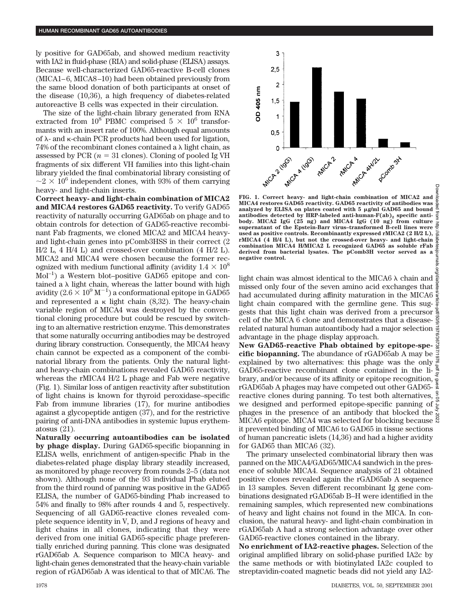ly positive for GAD65ab, and showed medium reactivity with IA2 in fluid-phase (RIA) and solid-phase (ELISA) assays. Because well-characterized GAD65-reactive B-cell clones (MICA1–6, MICA8–10) had been obtained previously from the same blood donation of both participants at onset of the disease (10,36), a high frequency of diabetes-related autoreactive B cells was expected in their circulation.

The size of the light-chain library generated from RNA extracted from  $10^8$  PBMC comprised  $5 \times 10^6$  transformants with an insert rate of 100%. Although equal amounts of  $\lambda$ - and  $\kappa$ -chain PCR products had been used for ligation, 74% of the recombinant clones contained a  $\lambda$  light chain, as assessed by PCR  $(n = 31 \text{ clones})$ . Cloning of pooled Ig VH fragments of six different VH families into this light-chain library yielded the final combinatorial library consisting of  $\sim$ 2  $\times$  10<sup>6</sup> independent clones, with 93% of them carrying heavy- and light-chain inserts.

**Correct heavy- and light-chain combination of MICA2 and MICA4 restores GAD65 reactivity.** To verify GAD65 reactivity of naturally occurring GAD65ab on phage and to obtain controls for detection of GAD65-reactive recombinant Fab fragments, we cloned MICA2 and MICA4 heavyand light-chain genes into pComb3HSS in their correct (2 H/2 L, 4 H/4 L) and crossed-over combination (4 H/2 L). MICA2 and MICA4 were chosen because the former recognized with medium functional affinity (avidity  $1.4 \times 10^8$  $Mol^{-1}$ ) a Western blot–positive GAD65 epitope and contained a  $\lambda$  light chain, whereas the latter bound with high avidity (2.6  $\times$   $10^9$  M $^{-1})$  a conformational epitope in GAD65 and represented a  $\kappa$  light chain (8,32). The heavy-chain variable region of MICA4 was destroyed by the conventional cloning procedure but could be rescued by switching to an alternative restriction enzyme. This demonstrates that some naturally occurring antibodies may be destroyed during library construction. Consequently, the MICA4 heavy chain cannot be expected as a component of the combinatorial library from the patients. Only the natural lightand heavy-chain combinations revealed GAD65 reactivity, whereas the rMICA4 H/2 L phage and Fab were negative (Fig. 1). Similar loss of antigen reactivity after substitution of light chains is known for thyroid peroxidase–specific Fab from immune libraries (17), for murine antibodies against a glycopeptide antigen (37), and for the restrictive pairing of anti-DNA antibodies in systemic lupus erythematosus (21).

**Naturally occurring autoantibodies can be isolated by phage display.** During GAD65-specific biopanning in ELISA wells, enrichment of antigen-specific Phab in the diabetes-related phage display library steadily increased, as monitored by phage recovery from rounds 2–5 (data not shown). Although none of the 93 individual Phab eluted from the third round of panning was positive in the GAD65 ELISA, the number of GAD65-binding Phab increased to 54% and finally to 98% after rounds 4 and 5, respectively. Sequencing of all GAD65-reactive clones revealed complete sequence identity in V, D, and J regions of heavy and light chains in all clones, indicating that they were derived from one initial GAD65-specific phage preferentially enriched during panning. This clone was designated rGAD65ab A. Sequence comparison to MICA heavy- and light-chain genes demonstrated that the heavy-chain variable region of rGAD65ab A was identical to that of MICA6. The



**FIG. 1. Correct heavy- and light-chain combination of MICA2 and** nload **MICA4 restores GAD65 reactivity. GAD65 reactivity of antibodies was** B analyzed by ELISA on plates coated with 5  $\mu$ g/ml GAD65 and bound цоц **antibodies detected by HRP-labeled anti-human-F(ab)2 specific anti-body. MICA2 IgG (25 ng) and MICA4 IgG (10 ng) from culture**  $\frac{1}{2}$ **supernatant of the Epstein-Barr virus–transformed B-cell lines were used as positive controls. Recombinantly expressed rMICA2 (2 H/2 L), rMICA4 (4 H/4 L), but not the crossed-over heavy- and light-chain combination MICA4 H/MICA2 L recognized GAD65 as soluble rFab** tesjournals. **derived from bacterial lysates. The pComb3H vector served as a negative control.**

light chain was almost identical to the MICA6  $\lambda$  chain and  $\frac{5}{8}$ missed only four of the seven amino acid exchanges that had accumulated during affinity maturation in the MICA6 light chain compared with the germline gene. This suggests that this light chain was derived from a precursor cell of the MICA 6 clone and demonstrates that a diseaserelated natural human autoantibody had a major selection advantage in the phage display approach.

**New GAD65-reactive Phab obtained by epitope-specific biopanning.** The abundance of rGAD65ab A may be explained by two alternatives: this phage was the only  $\frac{3}{2}$ GAD65-reactive recombinant clone contained in the li- $\frac{8}{5}$ brary, and/or because of its affinity or epitope recognition, rGAD65ab A phages may have competed out other GAD65 reactive clones during panning. To test both alternatives,  $\frac{8}{9}$ we designed and performed epitope-specific panning of  $\mathcal{E}$ phages in the presence of an antibody that blocked the  $\zeta$ MICA6 epitope. MICA4 was selected for blocking because  $\bar{\aleph}$ it prevented binding of MICA6 to GAD65 in tissue sections of human pancreatic islets (14,36) and had a higher avidity for GAD65 than MICA6 (32). Downloaded from http://diabetesjournals.org/diabetes/article-pdf/50/9/1976/367387/1976.pdf by guest on 05 July 2022

The primary unselected combinatorial library then was panned on the MICA4/GAD65/MICA4 sandwich in the presence of soluble MICA4. Sequence analysis of 21 obtained positive clones revealed again the rGAD65ab A sequence in 13 samples. Seven different recombinant Ig gene combinations designated rGAD65ab B–H were identified in the remaining samples, which represented new combinations of heavy and light chains not found in the MICA. In conclusion, the natural heavy- and light-chain combination in rGAD65ab A had a strong selection advantage over other GAD65-reactive clones contained in the library.

**No enrichment of IA2-reactive phages.** Selection of the original amplified library on solid-phase purified IA2c by the same methods or with biotinylated IA2c coupled to streptavidin-coated magnetic beads did not yield any IA2-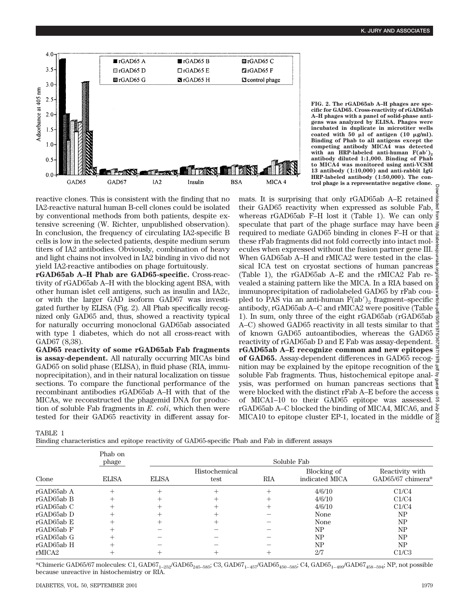

**FIG. 2. The rGAD65ab A–H phages are specific for GAD65. Cross-reactivity of rGAD65ab A–H phages with a panel of solid-phase antigens was analyzed by ELISA. Phages were incubated in duplicate in microtiter wells** coated with  $50 \mu l$  of antigen (10  $\mu$ g/ml). **Binding of Phab to all antigens except the competing antibody MICA4 was detected** with an HRP-labeled anti-human  $F(ab')_2$ **antibody diluted 1:1,000. Binding of Phab to MICA4 was monitored using anti-VCSM 13 antibody (1:10,000) and anti-rabbit IgG HRP-labeled antibody (1:50,000). The control phage is a representative negative clone.**

reactive clones. This is consistent with the finding that no IA2-reactive natural human B-cell clones could be isolated by conventional methods from both patients, despite extensive screening (W. Richter, unpublished observation). In conclusion, the frequency of circulating IA2-specific B cells is low in the selected patients, despite medium serum titers of IA2 antibodies. Obviously, combination of heavy and light chains not involved in IA2 binding in vivo did not yield IA2-reactive antibodies on phage fortuitously.

**rGAD65ab A–H Phab are GAD65-specific.** Cross-reactivity of rGAD65ab A–H with the blocking agent BSA, with other human islet cell antigens, such as insulin and IA2c, or with the larger GAD isoform GAD67 was investigated further by ELISA (Fig. 2). All Phab specifically recognized only GAD65 and, thus, showed a reactivity typical for naturally occurring monoclonal GAD65ab associated with type 1 diabetes, which do not all cross-react with GAD67 (8,38).

**GAD65 reactivity of some rGAD65ab Fab fragments is assay-dependent.** All naturally occurring MICAs bind GAD65 on solid phase (ELISA), in fluid phase (RIA, immunoprecipitation), and in their natural localization on tissue sections. To compare the functional performance of the recombinant antibodies rGAD65ab A–H with that of the MICAs, we reconstructed the phagemid DNA for production of soluble Fab fragments in *E. coli*, which then were tested for their GAD65 reactivity in different assay for-

mats. It is surprising that only rGAD65ab A–E retained their GAD65 reactivity when expressed as soluble Fab, whereas rGAD65ab F–H lost it (Table 1). We can only  $\frac{3}{5}$ speculate that part of the phage surface may have been required to mediate GAD65 binding in clones F–H or that these rFab fragments did not fold correctly into intact molecules when expressed without the fusion partner gene III. When GAD65ab A–H and rMICA2 were tested in the classical ICA test on cryostat sections of human pancreas  $\frac{a}{a}$ (Table 1), the rGAD65ab A–E and the rMICA2 Fab revealed a staining pattern like the MICA. In a RIA based on immunoprecipitation of radiolabeled GAD65 by rFab coupled to PAS via an anti-human  $F(ab')_2$  fragment–specific  $\frac{3}{2}$ antibody, rGAD65ab A–C and rMICA2 were positive (Table  $\frac{9}{2}$ 1). In sum, only three of the eight rGAD65ab (rGAD65ab A–C) showed GAD65 reactivity in all tests similar to that  $\frac{3}{9}$ of known GAD65 autoantibodies, whereas the GAD65 reactivity of rGAD65ab D and E Fab was assay-dependent. **rGAD65ab A–E recognize common and new epitopes** of GAD65. Assay-dependent differences in GAD65 recog- $\frac{3}{8}$ nition may be explained by the epitope recognition of the soluble Fab fragments. Thus, histochemical epitope analysis, was performed on human pancreas sections that  $\frac{6}{8}$ were blocked with the distinct rFab A–E before the access of MICA1–10 to their GAD65 epitope was assessed. rGAD65ab A–C blocked the binding of MICA4, MICA6, and MICA10 to epitope cluster EP-1, located in the middle of  $\frac{8}{6}$ Downloaded from http://diabetesjournals.org/diabetes/article-pdf/50/9/1976/367387/1976.pdf by guest on 05 July 2022

TABLE 1

Binding characteristics and epitope reactivity of GAD65-specific Phab and Fab in different assays

|            | Phab on<br>phage<br><b>ELISA</b> | Soluble Fab  |                       |     |                               |                                      |  |
|------------|----------------------------------|--------------|-----------------------|-----|-------------------------------|--------------------------------------|--|
| Clone      |                                  | <b>ELISA</b> | Histochemical<br>test | RIA | Blocking of<br>indicated MICA | Reactivity with<br>GAD65/67 chimera* |  |
| rGAD65ab A | $^+$                             |              |                       |     | 4/6/10                        | C1/C4                                |  |
| rGAD65ab B |                                  |              |                       |     | 4/6/10                        | C1/C4                                |  |
| rGAD65ab C | $^+$                             |              |                       |     | 4/6/10                        | C1/C4                                |  |
| rGAD65ab D |                                  |              |                       |     | None                          | NP                                   |  |
| rGAD65ab E |                                  |              |                       |     | None                          | NP                                   |  |
| rGAD65ab F |                                  |              |                       |     | NP                            | NP                                   |  |
| rGAD65ab G |                                  |              |                       |     | NΡ                            | NP                                   |  |
| rGAD65ab H |                                  |              |                       |     | NΡ                            | NP                                   |  |
| rMICA2     |                                  |              |                       |     | 2/7                           | C1/C3                                |  |

\*Chimeric GAD65/67 molecules: C1, GAD67<sub>1–252</sub>/GAD65<sub>245–585</sub>; C3, GAD67<sub>1–457</sub>/GAD65<sub>450–585</sub>; C4, GAD65<sub>1–499</sub>/GAD67<sub>458–594</sub>; NP, not possible because unreactive in histochemistry or RIA.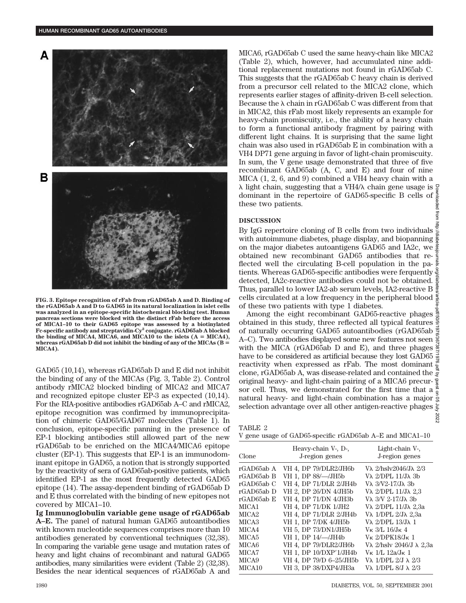

**FIG. 3. Epitope recognition of rFab from rGAD65ab A and D. Binding of the rGAD65ab A and D to GAD65 in its natural localization in islet cells was analyzed in an epitope-specific histochemical blocking test. Human pancreas sections were blocked with the distinct rFab before the access of MICA1–10 to their GAD65 epitope was assessed by a biotinylated Fc-specific antibody and streptavidin-Cy2 conjugate. rGAD65ab A blocked** the binding of MICA4, MICA6, and MICA10 to the islets  $(A = MICA4)$ , **whereas rGAD65ab D did not inhibit the binding of any of the MICAs (B** 5 **MICA4).**

GAD65 (10,14), whereas rGAD65ab D and E did not inhibit the binding of any of the MICAs (Fig. 3, Table 2). Control antibody rMICA2 blocked binding of MICA2 and MICA7 and recognized epitope cluster EP-3 as expected (10,14). For the RIA-positive antibodies rGAD65ab A–C and rMICA2, epitope recognition was confirmed by immunoprecipitation of chimeric GAD65/GAD67 molecules (Table 1). In conclusion, epitope-specific panning in the presence of EP-1 blocking antibodies still allowed part of the new rGAD65ab to be enriched on the MICA4/MICA6 epitope cluster (EP-1). This suggests that EP-1 is an immunodominant epitope in GAD65, a notion that is strongly supported by the reactivity of sera of GAD65ab-positive patients, which identified EP-1 as the most frequently detected GAD65 epitope (14). The assay-dependent binding of rGAD65ab D and E thus correlated with the binding of new epitopes not covered by MICA1–10.

**Ig Immunoglobulin variable gene usage of rGAD65ab A–E.** The panel of natural human GAD65 autoantibodies with known nucleotide sequences comprises more than 10 antibodies generated by conventional techniques (32,38). In comparing the variable gene usage and mutation rates of heavy and light chains of recombinant and natural GAD65 antibodies, many similarities were evident (Table 2) (32,38). Besides the near identical sequences of rGAD65ab A and MICA6, rGAD65ab C used the same heavy-chain like MICA2 (Table 2), which, however, had accumulated nine additional replacement mutations not found in rGAD65ab C. This suggests that the rGAD65ab C heavy chain is derived from a precursor cell related to the MICA2 clone, which represents earlier stages of affinity-driven B-cell selection. Because the  $\lambda$  chain in rGAD65ab C was different from that in MICA2, this rFab most likely represents an example for heavy-chain promiscuity, i.e., the ability of a heavy chain to form a functional antibody fragment by pairing with different light chains. It is surprising that the same light chain was also used in rGAD65ab E in combination with a VH4 DP71 gene arguing in favor of light-chain promiscuity. In sum, the V gene usage demonstrated that three of five recombinant GAD65ab (A, C, and E) and four of nine MICA (1, 2, 6, and 9) combined a VH4 heavy chain with a  $\lambda$  light chain, suggesting that a VH4/ $\lambda$  chain gene usage is dominant in the repertoire of GAD65-specific B cells of these two patients.

### **DISCUSSION**

By IgG repertoire cloning of B cells from two individuals  $\frac{3}{8}$ with autoimmune diabetes, phage display, and biopanning on the major diabetes autoantigens GAD65 and IA2c, we obtained new recombinant GAD65 antibodies that reflected well the circulating B-cell population in the pa- $\frac{5}{6}$ tients. Whereas GAD65-specific antibodies were ferquently detected, IA2c-reactive antibodies could not be obtained. Thus, parallel to lower IA2-ab serum levels, IA2-reactive B cells circulated at a low frequency in the peripheral blood of these two patients with type 1 diabetes.

Downloaded from http://diabetesjournals.org/diabetes/article-pdf/50/9/1976/367387/1976.pdf by guest on 05 July 2022Among the eight recombinant GAD65-reactive phages obtained in this study, three reflected all typical features of naturally occurring GAD65 autoantibodies (rGAD65ab  $\frac{8}{8}$ A–C). Two antibodies displayed some new features not seen  $\frac{8}{2}$ with the MICA ( $rGAD65ab$  D and E), and three phages  $\frac{S}{S}$ have to be considered as artificial because they lost GAD65 reactivity when expressed as rFab. The most dominant  $\frac{5}{2}$ clone, rGAD65ab A, was disease-related and contained the  $\vec{z}$ original heavy- and light-chain pairing of a MICA6 precursor cell. Thus, we demonstrated for the first time that a  $\frac{a}{9}$ natural heavy- and light-chain combination has a major  $\frac{1}{8}$ selection advantage over all other antigen-reactive phages 2022

| TABLE |  |
|-------|--|
|-------|--|

|  |  |  |  | V gene usage of GAD65-specific rGAD65ab A–E and MICA1–10 |  |  |  |  |  |
|--|--|--|--|----------------------------------------------------------|--|--|--|--|--|
|--|--|--|--|----------------------------------------------------------|--|--|--|--|--|

| Clone              | Heavy-chain V-, D-,<br>J-region genes | Light-chain V-,<br>J-region genes        |
|--------------------|---------------------------------------|------------------------------------------|
| rGAD65ab A         | VH 4, DP 79/DLR2/JH6b                 | Vλ 2/hslv2046/Jλ 2/3                     |
| rGAD65ab B         | VH 1, DP 88/-/JH5b                    | Vλ 2/DPL 11/Jλ 3b                        |
| rGAD65ab C         | VH 4, DP 71/DLR 2/JH4b                | V $\lambda$ 3/V2-17/J $\lambda$ 3b       |
| rGAD65ab D         | VH 2, DP 26/DN 4/JH5b                 | Vλ 2/DPL 11/Jλ 2,3                       |
| rGAD65ab E         | VH 4, DP 71/DN 4/JH3b                 | Vλ 3/V 2-17/Jλ 3b                        |
| MICA1              | VH 4, DP 71/DK 1/JH2                  | Vλ 2/DPL 11/Jλ 2,3a                      |
| MICA <sub>2</sub>  | VH 4, DP 71/DLR 2/JH4b                | Vλ 1/DPL 2/Jλ 2,3a                       |
| MICA <sub>3</sub>  | VH 1, DP 7/DK 4/JH5b                  | Vλ 2/DPL 13/Jλ 1                         |
| MICA4              | VH 5, DP 73/DN1/JH5b                  | V $\kappa$ 3/L 16/J $\kappa$ 4           |
| MICA <sub>5</sub>  | VH 1, DP 14/-/JH4b                    | $V_K 2/DPK18/J_K 1$                      |
| MICA6              | VH 4, DP 79/DLR2/JH6b                 | V $\lambda$ 2/hslv 2046/J $\lambda$ 2.3a |
| MICA7              | VH 1, DP 10/DXP'1/JH4b                | $V_{K}$ 1/L 12a/J <sub>K</sub> 1         |
| MICA <sub>9</sub>  | VH 4, DP 79/D 6-25/JH5b               | V $\lambda$ 1/DPL $2/J \lambda$ 2/3      |
| MICA <sub>10</sub> | VH 3, DP 38/DXP4/JH3a                 | V $\lambda$ 1/DPL 8/J $\lambda$ 2/3      |

mom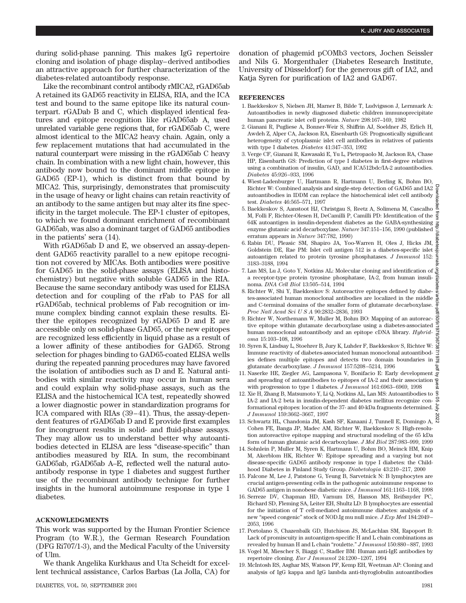during solid-phase panning. This makes IgG repertoire cloning and isolation of phage display–derived antibodies an attractive approach for further characterization of the diabetes-related autoantibody response.

Like the recombinant control antibody rMICA2, rGAD65ab A retained its GAD65 reactivity in ELISA, RIA, and the ICA test and bound to the same epitope like its natural counterpart. rGADab B and C, which displayed identical features and epitope recognition like rGAD65ab A, used unrelated variable gene regions that, for rGAD65ab C, were almost identical to the MICA2 heavy chain. Again, only a few replacement mutations that had accumulated in the natural counterpart were missing in the rGAD65ab C heavy chain. In combination with a new light chain, however, this antibody now bound to the dominant middle epitope in GAD65 (EP-1), which is distinct from that bound by MICA2. This, surprisingly, demonstrates that promiscuity in the usage of heavy or light chains can retain reactivity of an antibody to the same antigen but may alter its fine specificity in the target molecule. The EP-1 cluster of epitopes, to which we found dominant enrichment of recombinant GAD65ab, was also a dominant target of GAD65 antibodies in the patients' sera (14).

With rGAD65ab D and E, we observed an assay-dependent GAD65 reactivity parallel to a new epitope recognition not covered by MICAs. Both antibodies were positive for GAD65 in the solid-phase assays (ELISA and histochemistry) but negative with soluble GAD65 in the RIA. Because the same secondary antibody was used for ELISA detection and for coupling of the rFab to PAS for all rGAD65ab, technical problems of Fab recognition or immune complex binding cannot explain these results. Either the epitopes recognized by rGAD65 D and E are accessible only on solid-phase GAD65, or the new epitopes are recognized less efficiently in liquid phase as a result of a lower affinity of these antibodies for GAD65. Strong selection for phages binding to GAD65-coated ELISA wells during the repeated panning procedures may have favored the isolation of antibodies such as D and E. Natural antibodies with similar reactivity may occur in human sera and could explain why solid-phase assays, such as the ELISA and the histochemical ICA test, repeatedly showed a lower diagnostic power in standardization programs for ICA compared with RIAs (39–41). Thus, the assay-dependent features of rGAD65ab D and E provide first examples for incongruent results in solid- and fluid-phase assays. They may allow us to understand better why autoantibodies detected in ELISA are less "disease-specific" than antibodies measured by RIA. In sum, the recombinant GAD65ab, rGAD65ab A–E, reflected well the natural autoantibody response in type 1 diabetes and suggest further use of the recombinant antibody technique for further insights in the humoral autoimmune response in type 1 diabetes.

#### **ACKNOWLEDGMENTS**

This work was supported by the Human Frontier Science Program (to W.R.), the German Research Foundation (DFG Ri707/1-3), and the Medical Faculty of the University of Ulm.

We thank Angelika Kurkhaus and Uta Scheidt for excellent technical assistance, Carlos Barbas (La Jolla, CA) for donation of phagemid pCOMb3 vectors, Jochen Seissler and Nils G. Morgenthaler (Diabetes Research Institute, University of Düsseldorf) for the generous gift of IA2, and Katja Syren for purification of IA2 and GAD67.

#### **REFERENCES**

- 1. Baekkeskov S, Nielsen JH, Marner B, Bilde T, Ludvigsson J, Lernmark A: Autoantibodies in newly diagnosed diabetic children immunoprecipitate human pancreatic islet cell proteins. *Nature* 298:167–169, 1982
- 2. Gianani R, Pugliese A, Bonner-Weir S, Shiffrin AJ, Soeldner JS, Erlich H, Awdeh Z, Alper CA, Jackson RA, Eisenbarth GS: Prognostically significant heterogeneity of cytoplasmic islet cell antibodies in relatives of patients with type I diabetes. *Diabetes* 41:347–353, 1992
- 3. Verge CF, Gianani R, Kawasaki E, Yu L, Pietropaolo M, Jackson RA, Chase HP, Eisenbarth GS: Prediction of type I diabetes in first-degree relatives using a combination of insulin, GAD, and ICA512bdc/IA-2 autoantibodies. *Diabetes* 45:926–933, 1996
- 4. Wiest-Ladenburger U, Hartmann R, Hartmann U, Berling K, Bohm BO, Richter W: Combined analysis and single-step detection of GAD65 and IA2 autoantibodies in IDDM can replace the histochemical islet cell antibody test. *Diabetes* 46:565–571, 1997
- 5. Baekkeskov S, Aanstoot HJ, Christgau S, Reetz A, Solimena M, Cascalho M, Folli F, Richter-Olesen H, DeCamilli P, Camilli PD: Identification of the  $\frac{3}{5}$ 64K autoantigen in insulin-dependent diabetes as the GABA-synthesizing enzyme glutamic acid decarboxylase. *Nature* 347:151–156, 1990 (published erratum appears in *Nature* 347:782, 1990)
- 6. Rabin DU, Pleasic SM, Shapiro JA, Yoo-Warren H, Oles J, Hicks JM, Goldstein DE, Rae PM: Islet cell antigen 512 is a diabetes-specific islet  $\frac{6}{6}$ autoantigen related to protein tyrosine phosphatases. *J Immunol* 152: 3183–3188, 1994
- 7. Lan MS, Lu J, Goto Y, Notkins AL: Molecular cloning and identification of a receptor-type protein tyrosine phosphatase, IA-2, from human insulinoma. *DNA Cell Biol* 13:505–514, 1994
- 8. Richter W, Shi Y, Baekkeskov S: Autoreactive epitopes defined by diabetes-associated human monoclonal antibodies are localized in the middle and C-terminal domains of the smaller form of glutamate decarboxylase. *Proc Natl Acad SciUSA* 90:2832–2836, 1993
- 9. Richter W, Northemann W, Muller M, Bohm BO: Mapping of an autoreactive epitope within glutamate decarboxylase using a diabetes-associated human monoclonal autoantibody and an epitope cDNA library. *Hybridoma* 15:103–108, 1996
- 10. Syren K, Lindsay L, Stoehrer B, Jury K, Luhder F, Baekkeskov S, Richter W: Immune reactivity of diabetes-associated human monoclonal autoantibodies defines multiple epitopes and detects two domain boundaries in glutamate decarboxylase. *J Immunol* 157:5208–5214, 1996
- 11. Naserke HE, Ziegler AG, Lampasona V, Bonifacio E: Early development NaseLe 111, *alleged 120*, *autometers* (i)<br>and spreading of autoantibodies to epitopes of IA-2 and their association is<br>the autometer to true 1 dielectors (*Immunal* 161-6963-6969 1998 with progression to type 1 diabetes. *J Immunol* 161:6963–6969, 1998
- 12. Xie H, Zhang B, Matsumoto Y, Li Q, Notkins AL, Lan MS: Autoantibodies to IA-2 and IA-2 beta in insulin-dependent diabetes mellitus recognize conformational epitopes: location of the 37- and 40-kDa fragments determined. *J Immunol* 159:3662–3667, 1997 Downloaded from http://diabetesjournals.org/diabetes/article-pdf/50/9/1976/367387/1976.pdf by guest on 05 July 2022
- 13. Schwartz HL, Chandonia JM, Kash SF, Kanaani J, Tunnell E, Domingo A, Cohen FE, Banga JP, Madec AM, Richter W, Baekkeskov S: High-resolution autoreactive epitope mapping and structural modeling of the 65 kDa form of human glutamic acid decarboxylase. *J Mol Biol* 287:983–999, 1999
- 14. Sohnlein P, Muller M, Syren K, Hartmann U, Bohm BO, Meinck HM, Knip M, Akerblom HK, Richter W: Epitope spreading and a varying but not disease-specific GAD65 antibody response in type I diabetes: the Childhood Diabetes in Finland Study Group. *Diabetologia* 43:210–217, 2000
- 15. Falcone M, Lee J, Patstone G, Yeung B, Sarvetnick N: B lymphocytes are crucial antigen-presenting cells in the pathogenic autoimmune response to GAD65 antigen in nonobese diabetic mice. *J Immunol* 161:1163–1168, 1998
- 16. Serreze DV, Chapman HD, Varnum DS, Hanson MS, Reifsnyder PC, Richard SD, Fleming SA, Leiter EH, Shultz LD: B lymphocytes are essential for the initiation of T cell-mediated autoimmune diabetes: analysis of a new "speed congenic" stock of NOD.Ig mu null mice. *J Exp Med* 184:2049– 2053, 1996
- 17. Portolano S, Chazenbalk GD, Hutchison JS, McLachlan SM, Rapoport B: Lack of promiscuity in autoantigen-specific H and L chain combinations as revealed by human H and L chain "roulette." *J Immunol* 150:880–887, 1993
- 18. Vogel M, Miescher S, Biaggi C, Stadler BM: Human anti-IgE antibodies by repertoire cloning. *Eur J Immunol* 24:1200–1207, 1994
- 19. McIntosh RS, Asghar MS, Watson PF, Kemp EH, Weetman AP: Cloning and analysis of IgG kappa and IgG lambda anti-thyroglobulin autoantibodies